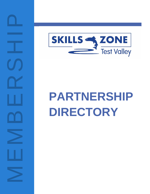NEMBERSHIP<br>MEMBERSHIP



# **PART NERSHIP DIRECTORY**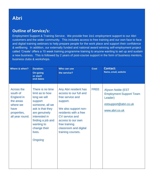## **Abri**

### **Outline of Service/s:**

Employment Support & Training Service. We provide free 1to1 employment support to our Abri customers and the wider community. This includes access to free training and our own face to face and digital training webinars to help prepare people for the work place and support their confidence & wellbeing. In addition, our externally funded and national award winning self-employment project called 'Create' offers a 10 week training programme training to anyone wanting to set up and sustain a new business. This is followed by 2 years of post-course support in the form of business mentors, business clubs & workshops.

| Where & when?                                                                                           | <b>Duration;</b><br><b>On-going</b><br>or start/<br>end dates                                                                                                                                                   | Who can use<br>the service?                                                                                                                                                                                                            | <b>Cost</b> | <b>Contact:</b><br>Name, email, website                                                                          |
|---------------------------------------------------------------------------------------------------------|-----------------------------------------------------------------------------------------------------------------------------------------------------------------------------------------------------------------|----------------------------------------------------------------------------------------------------------------------------------------------------------------------------------------------------------------------------------------|-------------|------------------------------------------------------------------------------------------------------------------|
| Across the<br>south of<br>England in<br>the areas<br>where we<br>have<br>properties,<br>all year round. | There is no time<br>limit as to how<br>long we will<br>support<br>someone, all we<br>ask is that they<br>are genuinely<br>interested in<br>finding a job and<br>wanting to<br>change their<br>lives.<br>Ongoing | Any Abri resident has<br>access to our full and<br>free service and<br>support.<br>We also support non-<br>residents with a free<br>CV service and<br>access to our own<br>free training<br>classroom and digital<br>training courses. | <b>FREE</b> | <b>Alyson Noble (EST</b><br><b>Employment Support Team</b><br>Leader)<br>estsupport@abri.co.uk<br>www.abri.co.uk |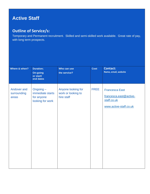# **Active Staff**

### **Outline of Service/s:**

Temporary and Permanent recruitment. Skilled and semi-skilled work available. Great rate of pay, with long term prospects.

| Where & when?                       | <b>Duration;</b><br><b>On-going</b><br>or start/<br>end dates  | Who can use<br>the service?                            | Cost        | <b>Contact:</b><br>Name, email, website                                                  |
|-------------------------------------|----------------------------------------------------------------|--------------------------------------------------------|-------------|------------------------------------------------------------------------------------------|
| Andover and<br>surrounding<br>areas | Ongoing-<br>immediate starts<br>for anyone<br>looking for work | Anyone looking for<br>work or looking to<br>hire staff | <b>FREE</b> | <b>Francesca East</b><br>francesca.east@active-<br>staff.co.uk<br>www.active-staff.co.uk |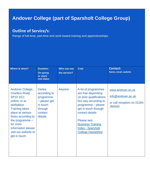# **Andover College (part of Sparsholt College Group)**

### **Outline of Service/s:**

Range of full-time, part-time and work-based training and apprenticeships.

| Where & when?                                                                                                                                                                                                                                                   | Duration;<br>On-going<br>or start/<br>end dates                                                         | Who can use<br>the service? | <b>Cost</b>                                                                                                                                                                                                                                                       | <b>Contact:</b><br>Name, email, website                                         |
|-----------------------------------------------------------------------------------------------------------------------------------------------------------------------------------------------------------------------------------------------------------------|---------------------------------------------------------------------------------------------------------|-----------------------------|-------------------------------------------------------------------------------------------------------------------------------------------------------------------------------------------------------------------------------------------------------------------|---------------------------------------------------------------------------------|
| Andover College,<br><b>Charlton Road,</b><br><b>SP10 1EJ;</b><br>online; or at<br>workplace.<br><b>Training takes</b><br>place at various<br>times according to<br>the programme $-$<br>for more<br>information please<br>visit our website or<br>get in touch. | <b>Varies</b><br>according to<br>programme<br>- please get<br>in touch<br>through<br>contact<br>details | Anyone                      | A lot of programmes<br>are free depending<br>on prior qualifications<br>but vary according to<br>programme - please<br>get in touch through<br>contact details<br>Please see:<br><b>Business Training</b><br><b>Index - Sparsholt</b><br><b>College Hampshire</b> | www.andover.ac.uk<br>info@andover.ac.uk<br>or call reception on 01264<br>360000 |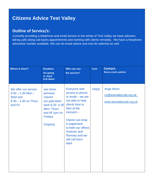# **Citizens Advice Test Valley**

### **Outline of Service/s:**

Currently providing a telephone and email service in the whole of Test Valley we have advisers taking calls doing call backs appointments and working with clients remotely. We have a freephone adviceline number available. We can do email advice and now do webchat as well

| Where & when?                                                                               | <b>Duration;</b><br><b>On-going</b><br>or start/<br>end dates                                                                           | Who can use<br>the service?                                                                                                                                                                                                                    | <b>Cost</b> | <b>Contact:</b><br>Name, email, website                                 |
|---------------------------------------------------------------------------------------------|-----------------------------------------------------------------------------------------------------------------------------------------|------------------------------------------------------------------------------------------------------------------------------------------------------------------------------------------------------------------------------------------------|-------------|-------------------------------------------------------------------------|
| We offer our service<br>$9.30 - 2.30$ Mon -<br>Wed and<br>$9.30 - 1.00$ on Thurs<br>and Fri | see times<br>previous<br>column<br>our paid team<br>work 8.30 -4.30<br><b>Mon-Thurs</b><br>and till 1pm on<br><b>Fridays</b><br>Ongoing | Everyone with<br>access to phone<br>or email - we are<br>not able to help<br>clients face to<br>face at the<br>$moment -$<br>Clients can drop<br>in paperwork<br>to both our offices<br>Andover and<br>Romsey and we<br>will call them<br>back | <b>FREE</b> | <b>Ange Moon</b><br>co@testvalleycab.org.uk<br>www.testvalleycab.org.uk |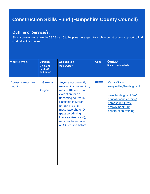# **Construction Skills Fund (Hampshire County Council)**

### **Outline of Service/s:**

Short courses (for example CSCS card) to help learners get into a job in construction; support to find work after the course

| Where & when?                | <b>Duration;</b><br><b>On-going</b><br>or start/<br>end dates | Who can use<br>the service?                                                                                                                                                                                                                                                          | <b>Cost</b> | <b>Contact:</b><br>Name, email, website                                                                                                                    |
|------------------------------|---------------------------------------------------------------|--------------------------------------------------------------------------------------------------------------------------------------------------------------------------------------------------------------------------------------------------------------------------------------|-------------|------------------------------------------------------------------------------------------------------------------------------------------------------------|
| Across Hampshire,<br>ongoing | 1-3 weeks<br>Ongoing                                          | Anyone not currently<br>working in construction;<br>mostly 18+ only (an<br>exception for an<br>upcoming course in<br><b>Eastleigh in March</b><br>for $16+NEETS$ ;<br>must have photo ID<br>(passport/driving<br>licence/citizen card);<br>must not have done<br>a CSF course before | <b>FREE</b> | Kerry Mills -<br>kerry.mills@hants.gov.uk<br>www.hants.gov.uk/en/<br>educationandlearning/<br>hampshirefutures/<br>employmenthub/<br>construction-training |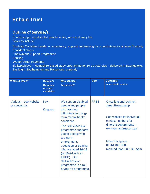# **Enham Trust**

### **Outline of Service/s:**

Charity supporting disabled people to live, work and enjoy life. Services include:

Disability Confident Leader – consultancy, support and training for organisations to achieve Disability Confident status

Employment Support Programme

**Housing** 

IAG for Direct Payments

Skills2Achieve – Hampshire-based study programme for 16-19 year olds – delivered in Basingstoke, Eastleigh, Southampton and Portsmouth currently

| Where & when?                          | <b>Duration;</b><br><b>On-going</b><br>or start/<br>end dates | Who can use<br>the service?                                                                                                                                                                                                                                                                                                                                                                | <b>Cost</b> | <b>Contact:</b><br>Name, email, website                                                                                                                                                                                            |
|----------------------------------------|---------------------------------------------------------------|--------------------------------------------------------------------------------------------------------------------------------------------------------------------------------------------------------------------------------------------------------------------------------------------------------------------------------------------------------------------------------------------|-------------|------------------------------------------------------------------------------------------------------------------------------------------------------------------------------------------------------------------------------------|
| Various – see website<br>or contact us | N/A<br>Ongoing                                                | We support disabled<br>people and people<br>with learning<br>difficulties and long-<br>term mental health<br>conditions.<br><b>The Skills2Achieve</b><br>programme supports<br>young people who<br>are not in<br>employment,<br>education or training<br>who are aged 16-19<br>(or $16-24$ with an<br>EHCP). Our<br><b>Skills2Achieve</b><br>programme is a roll<br>on/roll off programme. | <b>FREE</b> | Organisational contact:<br><b>Janet Beauchamp</b><br>See website for individual<br>contact numbers for<br>different departments -<br>www.enhamtrust.org.uk<br><b>Main Reception:</b><br>$01264345300 -$<br>manned Mon-Fri 8.30-5pm |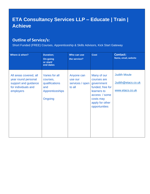# **ETA Consultancy Services LLP – Educate | Train | Achieve**

### **Outline of Service/s:**

Short Funded (FREE) Courses, Apprenticeship & Skills Advisors, Kick Start Gateway

| Where & when?                                                                                             | <b>Duration;</b><br><b>On-going</b><br>or start/<br>end dates                     | Who can use<br>the service?                        | <b>Cost</b>                                                                                                                                   | <b>Contact:</b><br>Name, email, website                      |
|-----------------------------------------------------------------------------------------------------------|-----------------------------------------------------------------------------------|----------------------------------------------------|-----------------------------------------------------------------------------------------------------------------------------------------------|--------------------------------------------------------------|
| All areas covered, all<br>year round personal<br>support and guidance<br>for individuals and<br>employers | Varies for all<br>courses,<br>qualifications<br>and<br>Apprenticeships<br>Ongoing | Anyone can<br>use our<br>services / open<br>to all | Many of our<br>courses are<br>government<br>funded, free for<br>learners to<br>access / some<br>costs may<br>apply for other<br>opportunities | <b>Judith Moule</b><br>Judith@etacs.co.uk<br>www.etacs.co.uk |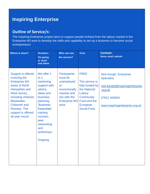# **Inspiring Enterprise**

### **Outline of Service/s:**

The Inspiring Enterprise project aims to support people furthest from the labour market in the Enterprise M3 area to develop the skills and capability to set up a business or become social entrepreneurs

| Where & when?                                                                                                                                                                                                                                    | <b>Duration;</b><br><b>On-going</b><br>or start/<br>end dates                                                                                                                                                       | Who can use<br>the service?                                                                                                         | <b>Cost</b>                                                                                                                                       | <b>Contact:</b><br>Name, email, website                                                                                                     |
|--------------------------------------------------------------------------------------------------------------------------------------------------------------------------------------------------------------------------------------------------|---------------------------------------------------------------------------------------------------------------------------------------------------------------------------------------------------------------------|-------------------------------------------------------------------------------------------------------------------------------------|---------------------------------------------------------------------------------------------------------------------------------------------------|---------------------------------------------------------------------------------------------------------------------------------------------|
| <b>Support is offered</b><br>covering the<br><b>Enterprise M3</b><br>areas of North<br>Hampshire and<br><b>West Surrey,</b><br>including Andover,<br>Blackwater,<br><b>Chilworth and</b><br>Romsey. The<br>support is offered<br>all year round. | We offer 1<br>to $1$<br>mentoring<br>support with<br>advice,<br>ideas and<br>business<br>planning,<br>'Business<br><b>Essentials'</b><br>training<br>courses,<br>peer<br>networking<br>and<br>workshops.<br>Ongoing | <b>Participants</b><br>must be<br>unemployed<br>or<br>economically<br>inactive and<br>live with the<br><b>Enterprise M3</b><br>area | <b>FREE</b><br>The service is<br>fully funded by<br>the National<br>Lottery<br><b>Community</b><br>Fund and the<br>European<br><b>Social Fund</b> | <b>Nick Keogh, Enterprise</b><br>Specialist,<br>nick.keogh@inspiringenterprise<br>.org.uk<br>07921 463604<br>www.inspiringenterprise.org.uk |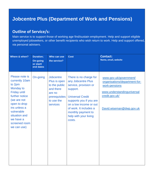# **Jobcentre Plus (Department of Work and Pensions)**

### **Outline of Service/s:**

Main service is to support those of working age find/sustain employment. Help and support eligible unemployed jobseekers, or other benefit recipients who wish return to work. Help and support offered, via personal advisers.

| Where & when?                                                                                                                                                                                                               | <b>Duration;</b><br><b>On-going</b><br>or start/<br>end dates | Who can use<br>the service?                                                                                  | <b>Cost</b>                                                                                                                                                                                                                                          | <b>Contact:</b><br>Name, email, website                                                                                                              |
|-----------------------------------------------------------------------------------------------------------------------------------------------------------------------------------------------------------------------------|---------------------------------------------------------------|--------------------------------------------------------------------------------------------------------------|------------------------------------------------------------------------------------------------------------------------------------------------------------------------------------------------------------------------------------------------------|------------------------------------------------------------------------------------------------------------------------------------------------------|
| Please note is<br>currently 10am<br>to 2pm<br>Monday to<br><b>Friday until</b><br>further notice<br>(we are not<br>open to drop<br>ins unless a<br>vulnerable<br>situation and<br>we have a<br>screened room<br>we can use) | On-going                                                      | Jobcentre<br>Plus is open<br>to the public<br>and there<br>are no<br>prerequisites<br>to use the<br>services | There is no charge for<br>any Jobcentre Plus<br>service, provision or<br>support.<br><b>Universal Credit</b><br>supports you if you are<br>on a low income or out<br>of work. It includes a<br>monthly payment to<br>help with your living<br>costs. | www.gov.uk/government/<br>organisations/department-for-<br>work-pensions<br>www.understandinguniversal<br>credit.gov.uk/<br>David.wiseman@dwp.gov.uk |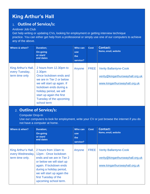# **King Arthur's Hall**

### 1. **Outline of Service/s:**

#### Andover Job Club

Get help writing or updating CVs, looking for employment or getting interview technique practice. You can either get help from a professional or simply use one of our computers to achieve any of the above.

| Where & when?                                           | <b>Duration;</b><br><b>On-going</b><br>or start/<br>end dates                                                                                                                                                                                                 | Who can<br><b>use</b><br>the<br>service? | <b>Cost</b> | <b>Contact:</b><br>Name, email, website                                                            |
|---------------------------------------------------------|---------------------------------------------------------------------------------------------------------------------------------------------------------------------------------------------------------------------------------------------------------------|------------------------------------------|-------------|----------------------------------------------------------------------------------------------------|
| King Arthur's Hall,<br>every Tuesday,<br>term time only | 2 hours from 12.30pm to<br>2.30 <sub>pm</sub><br>Once lockdown ends and<br>we are in Tier 2 or below<br>we will start up again. If<br>lockdown ends during a<br>holiday period, we will<br>start up again the first<br>Tuesday of the upcoming<br>school term | Anyone                                   | <b>FREE</b> | <b>Verity Ballantyne-Cook</b><br>verity@kingarthurswayhall.org.uk<br>www.kingarthurswayhall.org.uk |

### 2. **Outline of Service/s:**

Computer Drop-In

Use our computers to look for employment, write your CV or just browse the internet if you do not have a computer at home.

| Where & when?                                              | <b>Duration:</b><br>On-going<br>or start/<br>end dates                                                                                                                                                                                       | Who can<br><b>use</b><br>the<br>service? | <b>Cost</b> | <b>Contact:</b><br>Name, email, website                                                            |
|------------------------------------------------------------|----------------------------------------------------------------------------------------------------------------------------------------------------------------------------------------------------------------------------------------------|------------------------------------------|-------------|----------------------------------------------------------------------------------------------------|
| King Arthur's Hall,<br>every Wednesday,<br>term time only. | 2 hours from 10am to<br>12pm - Once lockdown<br>ends and we are in Tier 2<br>or below we will start up<br>again. If lockdown ends<br>during a holiday period,<br>we will start up again the<br>first Tuesday of the<br>upcoming school term. | Anyone                                   | <b>FREE</b> | <b>Verity Ballantyne-Cook</b><br>verity@kingarthurswayhall.org.uk<br>www.kingarthurswayhall.org.uk |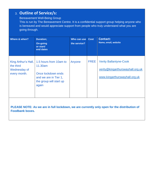# 3. **Outline of Service/s:**

#### Bereavement Well-Being Group

This is run by The Bereavement Centre. It is a confidential support group helping anyone who is bereaved and would appreciate support from people who truly understand what you are going through.

| Where & when?                                                    | <b>Duration;</b><br><b>On-going</b><br>or start/<br>end dates                                                        | Who can use<br>the service? | <b>Cost</b> | <b>Contact:</b><br>Name, email, website                                                            |
|------------------------------------------------------------------|----------------------------------------------------------------------------------------------------------------------|-----------------------------|-------------|----------------------------------------------------------------------------------------------------|
| King Arthur's Hall,<br>the third<br>Wednesday of<br>every month. | 1.5 hours from 10am to<br>11.30am<br>Once lockdown ends<br>and we are in Tier 1,<br>the group will start up<br>again | Anyone                      | <b>FREE</b> | <b>Verity Ballantyne-Cook</b><br>verity@kingarthurswayhall.org.uk<br>www.kingarthurswayhall.org.uk |

**PLEASE NOTE: As we are in full lockdown, we are currently only open for the distribution of Foodbank boxes.**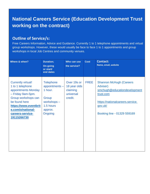# **National Careers Service (Education Development Trust working on the contract)**

### **Outline of Service/s:**

Free Careers Information, Advice and Guidance. Currently 1 to 1 telephone appointments and virtual group workshops. However, these would usually be face to face 1 to 1 appointments and group workshops in local Job Centres and community venues.

| Where & when?                                                                                                                                                                                                      | <b>Duration;</b><br><b>On-going</b><br>or start/<br>end dates                                           | Who can use<br>the service?                                     | <b>Cost</b> | <b>Contact:</b><br>Name, email, website                                                                                                                               |
|--------------------------------------------------------------------------------------------------------------------------------------------------------------------------------------------------------------------|---------------------------------------------------------------------------------------------------------|-----------------------------------------------------------------|-------------|-----------------------------------------------------------------------------------------------------------------------------------------------------------------------|
| <b>Currently virtual!</b><br>1 to 1 telephone<br>appointments Monday<br>- Friday 9am-5pm.<br>Group workshops can<br>be found here<br>https://www.eventbrit<br>e.com/o/national-<br>careers-service-<br>19115266730 | <b>Telephone</b><br>appointments -<br>1 hour.<br>Group<br>workshops-<br>1.5 hours<br>approx.<br>Ongoing | Over 19s or<br>18 year olds<br>claiming<br>universal<br>credit. | <b>FREE</b> | <b>Shannon McHugh (Careers</b><br>Adviser)<br>smchugh@educationdevelopment<br>trust.com<br>https://nationalcareers.service.<br>gov.uk/<br>Booking line - 01329 559169 |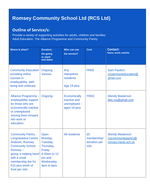# **Romsey Community School Ltd (RCS Ltd)**

### **Outline of Service/s:**

Provide a variety of supporting activities for adults, children and families Adult Education, The Alliance Programme and Community Pantry

| Where & when?                                                                                                                                                                                                            | <b>Duration;</b><br><b>On-going</b><br>or start/<br>end dates                                            | Who can use<br>the service?                                         | <b>Cost</b>                                | <b>Contact:</b><br>Name, email, website                              |
|--------------------------------------------------------------------------------------------------------------------------------------------------------------------------------------------------------------------------|----------------------------------------------------------------------------------------------------------|---------------------------------------------------------------------|--------------------------------------------|----------------------------------------------------------------------|
| <b>Community Education</b><br>providing online<br>courses in<br>employability, well-<br>being and childcare                                                                                                              | Ongoing<br><b>Various</b>                                                                                | Any<br><b>Hampshire</b><br>residents<br>Age 19 plus                 | <b>FREE</b>                                | Sam Paulton,<br>rcsserviceseducation@<br>gmail.com                   |
| Alliance Programme -<br>employability support<br>for those who are<br>economically inactive<br>or unemployed<br>moving them forward<br>into work or<br>education.                                                        | Ongoing                                                                                                  | <b>Economically</b><br>inactive and<br>unemployed -<br>aged 18 plus | <b>FREE</b>                                | <b>Wendy Masterson</b><br>bbo.rcs@gmail.com                          |
| <b>Community Pantry -</b><br><b>Longmeadow Centre</b><br>Andover, Romsey<br><b>Community School,</b><br>Romsey-<br>giving 'a helping hand'<br>with a small<br>membership fee for<br>£15 plus worth of<br>food per visit. | Open<br>Monday,<br>Tuesday,<br>Thursday,<br>Friday<br>9.30am to 12<br>pm and<br>Wednesday<br>4pm to 6pm. | <b>All residents</b>                                                | £5<br>membership/<br>donation per<br>visit | <b>Wendy Masterson</b><br>rcscommunitypantry@<br>romsey.hants.sch.uk |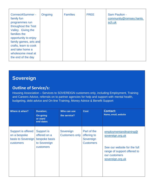| Connect4Summer -<br>family fun<br>programmes run<br>throughout the Test<br>Valley. Giving the<br>families the<br>opportunity to enjoy<br>family games, arts and | Ongoing | <b>Families</b> | <b>FREE</b> | <b>Sam Paulton -</b><br>community@romsey.hants.<br>sch.uk |
|-----------------------------------------------------------------------------------------------------------------------------------------------------------------|---------|-----------------|-------------|-----------------------------------------------------------|
| crafts, learn to cook<br>and take home a                                                                                                                        |         |                 |             |                                                           |
| wholesome meal at<br>the end of the day                                                                                                                         |         |                 |             |                                                           |

# **Sovereign**

### **Outline of Service/s:**

Housing Association – Services to SOVEREIGN customers only, including Employment, Training and Careers Advice, referrals on to partner agencies for help and support with mental health, budgeting, debt advice and On-line Training, Money Advice & Benefit Support

| Where & when?                                                         | <b>Duration;</b><br><b>On-going</b><br>or start/<br>end dates            | Who can use<br>the service?        | <b>Cost</b>                                                 | <b>Contact:</b><br>Name, email, website                                                                                                        |
|-----------------------------------------------------------------------|--------------------------------------------------------------------------|------------------------------------|-------------------------------------------------------------|------------------------------------------------------------------------------------------------------------------------------------------------|
| Support is offered<br>on a bespoke<br>basis to Sovereign<br>customers | Support is<br>offered on a<br>bespoke basis<br>to Sovereign<br>customers | Sovereign<br><b>Customers only</b> | Part of the<br>offering to<br>Sovereign<br><b>Customers</b> | employmentandtraining@<br>sovereign.org.uk<br>See our website for the full<br>range of support offered to<br>our customers<br>sovereign.org.uk |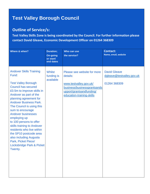# **Test Valley Borough Council**

### **Outline of Service/s:**

**Test Valley Skills Zone is being coordinated by the Council. For further information please contact David Gleave, Economic Development Officer on 01264 368309**

| Where & when?                                                                                                                                                                                                                                                                                                                                                                                                                                                                                                                 | <b>Duration;</b><br><b>On-going</b><br>or start/<br>end dates | Who can use<br>the service?                                                                                                                               | <b>Contact:</b><br>Name, email, website                          |
|-------------------------------------------------------------------------------------------------------------------------------------------------------------------------------------------------------------------------------------------------------------------------------------------------------------------------------------------------------------------------------------------------------------------------------------------------------------------------------------------------------------------------------|---------------------------------------------------------------|-----------------------------------------------------------------------------------------------------------------------------------------------------------|------------------------------------------------------------------|
| <b>Andover Skills Training</b><br>Fund:<br><b>Test Valley Borough</b><br><b>Council has secured</b><br>£0.5m to improve skills in<br>Andover as part of the<br>planning agreement for<br><b>Andover Business Park.</b><br>The Council is using this<br>sum to encourage<br><b>Andover businesses</b><br>employing up<br>to 100 persons to offer<br>skills training to Andover<br>residents who live within<br>the SP10 postcode area<br>also including Augusta<br>Park, Picket Piece/<br>Locksbridge Park & Picket<br>Twenty. | <b>Whilst</b><br>funding is<br>available                      | Please see website for more<br>details:<br>www.testvalley.gov.uk/<br>business/businessgrantsands<br>upport/grantsandfunding/<br>education-training-skills | <b>David Gleave</b><br>dgleave@testvalley.gov.uk<br>01264 368309 |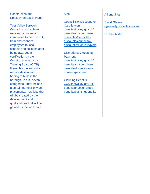| <b>Construction and</b>         | Also:                           | All enquiries:            |
|---------------------------------|---------------------------------|---------------------------|
| <b>Employment Skills Plans:</b> |                                 |                           |
|                                 | <b>Council Tax Discount for</b> | <b>David Gleave</b>       |
| <b>Test Valley Borough</b>      | Care leavers:                   | dgleave@testvalley.gov.uk |
| Council is now able to          | www.testvalley.gov.uk/          |                           |
| work with construction          | benefitsandcounciltax/          | 01264 368309              |
| companies to help recruit,      | counciltax/counciltax           |                           |
| train and connect               | discounts/council-tax-          |                           |
| employees to local              | discount-for-care-leavers       |                           |
| schools and colleges after      |                                 |                           |
| being awarded a                 | <b>Discretionary Housing</b>    |                           |
| certification by the            | Payment:                        |                           |
| <b>Construction Industry</b>    | www.testvalley.gov.uk/          |                           |
| Training Board (CITB).          | benefitsandcounciltax/          |                           |
| It enables the authority to     | benefits/discretionary-         |                           |
| require developers,             | housing-payment                 |                           |
| hoping to build in the          |                                 |                           |
| borough, to fulfil seven        | <b>Claiming Benefits:</b>       |                           |
| categories. They include        | www.testvalley.gov.uk/          |                           |
| a certain number of work        | benefitsandcounciltax/          |                           |
| placements, new jobs that       | benefits/claimingbenefits       |                           |
| will be created by the          |                                 |                           |
| development and                 |                                 |                           |
| qualifications that will be     |                                 |                           |
| gained by the workforce         |                                 |                           |
|                                 |                                 |                           |
|                                 |                                 |                           |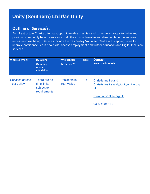# **Unity (Southern) Ltd t/as Unity**

### **Outline of Service/s:**

An infrastructure Charity offering support to enable charities and community groups to thrive and providing community based services to help the most vulnerable and disadvantaged to improve access and wellbeing. Services include the Test Valley Volunteer Centre – a stepping stone to improve confidence, learn new skills, access employment and further education and Digital Inclusion services

| Where & when?                                | <b>Duration;</b><br><b>On-going</b><br>or start/<br>end dates | Who can use<br>the service?               | <b>Cost</b> | <b>Contact:</b><br>Name, email, website                                                                                    |
|----------------------------------------------|---------------------------------------------------------------|-------------------------------------------|-------------|----------------------------------------------------------------------------------------------------------------------------|
| <b>Services across</b><br><b>Test Valley</b> | There are no<br>time limits<br>subject to<br>requirements     | <b>Residents in</b><br><b>Test Valley</b> | <b>FREE</b> | <b>Christianne Ireland</b><br>Christianne.ireland@unityonline.org.<br><u>uk</u><br>www.unityonline.org.uk<br>0330 4004 116 |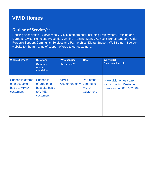# **VIVID Homes**

### **Outline of Service/s:**

Housing Association – Services to VIVID customers only, including Employment, Training and Careers Advice, Homeless Prevention, On-line Training, Money Advice & Benefit Support, Older Person's Support, Community Services and Partnerships, Digital Support, Well-Being – See our website for the full range of support offered to our customers.

| Where & when?                                                            | <b>Duration;</b><br><b>On-going</b><br>or start/<br>end dates               | Who can use<br>the service?           | <b>Cost</b>                                                    | <b>Contact:</b><br>Name, email, website                                     |
|--------------------------------------------------------------------------|-----------------------------------------------------------------------------|---------------------------------------|----------------------------------------------------------------|-----------------------------------------------------------------------------|
| Support is offered<br>on a bespoke<br>basis to VIVID<br><b>customers</b> | <b>Support is</b><br>offered on a<br>bespoke basis<br>to VIVID<br>customers | <b>VIVID</b><br><b>Customers only</b> | Part of the<br>offering to<br><b>VIVID</b><br><b>Customers</b> | www.vividhomes.co.uk<br>or by phoning Customer<br>Services on 0800 652 0898 |